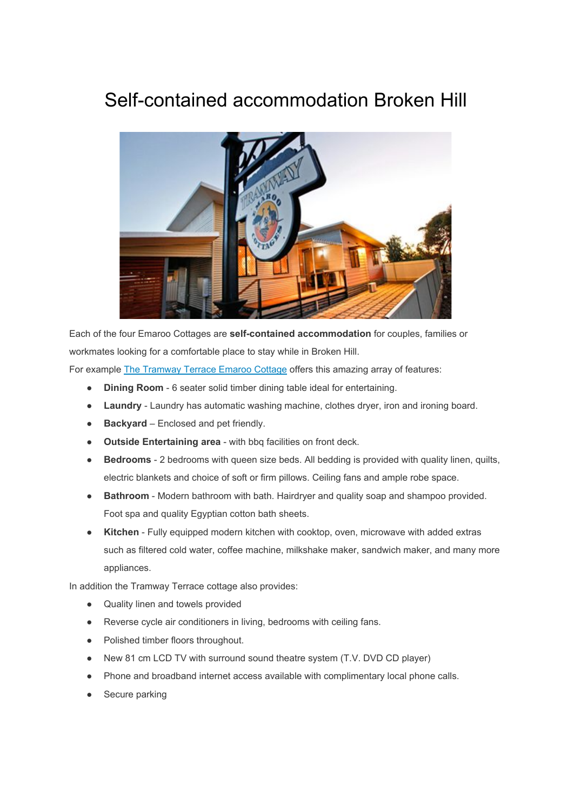## Self-contained accommodation Broken Hill



Each of the four Emaroo Cottages are **self-contained accommodation** for couples, families or workmates looking for a comfortable place to stay while in Broken Hill.

For example [The Tramway Terrace Emaroo Cottage](http://emaroocottages.com.au/?target=TramwayTerrace) offers this amazing array of features:

- **Dining Room**  6 seater solid timber dining table ideal for entertaining.
- **Laundry** Laundry has automatic washing machine, clothes dryer, iron and ironing board.
- **Backyard** Enclosed and pet friendly.
- **Outside Entertaining area** with bbq facilities on front deck.
- **Bedrooms** 2 bedrooms with queen size beds. All bedding is provided with quality linen, quilts, electric blankets and choice of soft or firm pillows. Ceiling fans and ample robe space.
- **Bathroom** Modern bathroom with bath. Hairdryer and quality soap and shampoo provided. Foot spa and quality Egyptian cotton bath sheets.
- **Kitchen** Fully equipped modern kitchen with cooktop, oven, microwave with added extras such as filtered cold water, coffee machine, milkshake maker, sandwich maker, and many more appliances.

In addition the Tramway Terrace cottage also provides:

- Quality linen and towels provided
- Reverse cycle air conditioners in living, bedrooms with ceiling fans.
- Polished timber floors throughout.
- New 81 cm LCD TV with surround sound theatre system (T.V. DVD CD player)
- Phone and broadband internet access available with complimentary local phone calls.
- Secure parking